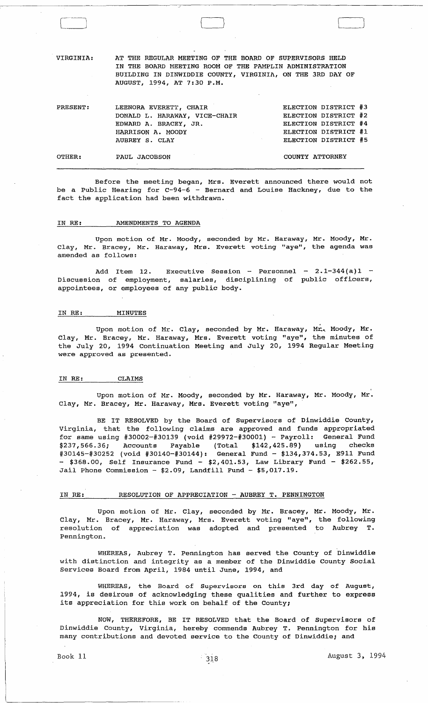VIRGINIA: AT THE REGULAR MEETING OF THE BOARD OF SUPERVISORS HELD IN THE BOARD MEETING ROOM OF THE PAMPLIN ADMINISTRATION BUILDING IN DINWIDDIE COUNTY, VIRGINIA, ON THE 3RD DAY OF AUGUST, 1994, AT 7:30 P.M.

}

| PRESENT: | LEENORA EVERETT, CHAIR        |                 | ELECTION DISTRICT #3 |  |
|----------|-------------------------------|-----------------|----------------------|--|
|          | DONALD L. HARAWAY, VICE-CHAIR |                 | ELECTION DISTRICT #2 |  |
|          | EDWARD A. BRACEY, JR.         |                 | ELECTION DISTRICT #4 |  |
|          | HARRISON A. MOODY             |                 | ELECTION DISTRICT #1 |  |
|          | AUBREY S. CLAY                |                 | ELECTION DISTRICT #5 |  |
|          |                               |                 |                      |  |
| OTHER:   | PAUL JACOBSON                 | COUNTY ATTORNEY |                      |  |

Before the meeting began, Mrs. Everett announced there would not be a Public Hearing for C-94-6 - Bernard and Louise Hackney, due to the fact the application had been withdrawn.

## IN RE: AMENDMENTS TO AGENDA

Upon motion of Mr. Moody, seconded by Mr. Haraway, Mr. Moody, Mr. Clay, Mr. Bracey, Mr. Haraway, Mrs. Everett voting "aye", the agenda was amended as follows:

Add Item 12. Executive Session - Personnel -  $2.1-344(a)1$  -Discussion of employment, salaries, disciplining of public officers, appointees, or employees of any public body.

#### IN RE: MINUTES

Upon motion of Mr. Clay, seconded by Mr. Haraway, Mr. Moody, Mr. Clay, Mr. Bracey, Mr. Haraway, Mrs. Everett voting "aye", the minutes of the July 20, 1994 Continuation Meeting and July 20, 1994 Regular Meeting were approved as presented.

## IN RE: CLAIMS

Upon motion of Mr. Moody, seconded by Mr. Haraway, Mr. Moody, Mr. Clay, Mr. Bracey, Mr. Haraway, Mrs. Everett voting "aye",

BE IT RESOLVED by the Board of Supervisors of Dinwiddie County, Virginia, that the following claims are approved and funds appropriated for same using #30002-#30139 (void #29972-#30001) - Payroll: General Fund \$237,566.36; Accounts Payable (Total \$142,425.89) using checks #30145-#30252 (void #30140-#30144): General Fund - \$134,374.53, E911 Fund  $-$  \$368.00, Self Insurance Fund - \$2,401.53, Law Library Fund - \$262.55, Jail Phone Commission -  $$2.09$ , Landfill Fund -  $$5,017.19$ .

# IN RE: RESOLUTION OF APPRECIATION - AUBREY T. PENNINGTON

Upon motion of Mr. Clay, seconded by Mr. Bracey, Mr. Moody, Mr. Clay, Mr. Bracey, Mr. Haraway, Mrs. Everett voting "aye", the following resolution of appreciation was adopted and presented to Aubrey T. Pennington.

WHEREAS, Aubrey T. Pennington has served the county of Dinwiddie with distinction and integrity as a member of the Dinwiddie County Social Services Board from April, 1984 until June, 1994, and

WHEREAS, the Board of Supervisors on this 3rd day of August, 1994, is desirous of acknowledging these qualities and further to express its appreciation for this work on behalf of the County;

NOW, THEREFORE, BE IT RESOLVED that the Board of Supervisors of Dinwiddie County, Virginia, hereby commends Aubrey T. Pennington for his many contributions and devoted service to the County of Dinwiddie; and

J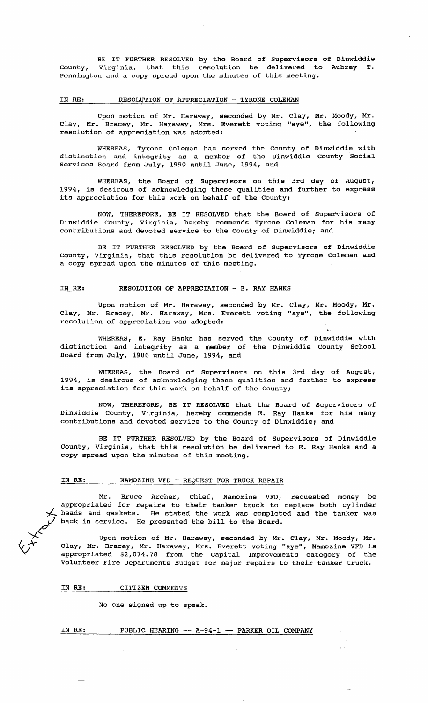BE IT FURTHER RESOLVED by the Board of Supervisors of Dinwiddie county, Virginia, that this resolution be delivered to Aubrey T. Pennington and a copy spread upon the minutes of this meeting.

#### IN RE: RESOLUTION OF APPRECIATION - TYRONE COLEMAN

Upon motion of Mr. Haraway, seconded by Mr. Clay, Mr. Moody, Mr. Clay, Mr. Bracey, Mr. Haraway, Mrs. Everett voting "aye", the following resolution of appreciation was adopted:

WHEREAS, Tyrone Coleman has served the county of Dinwiddie with distinction and integrity as a member of the Dinwiddie County Social Services Board from July, 1990 until June, 1994, and

WHEREAS, the Board of Supervisors on this 3rd day of August, 1994, is desirous of acknowledging these qualities and further to express its appreciation for this work on behalf of the County;

NOW, THEREFORE, BE IT RESOLVED that the Board of Supervisors of Dinwiddie County, Virginia, hereby commends Tyrone Coleman for his many contributions and devoted service to the County of Dinwiddie; and

BE IT FURTHER RESOLVED by the Board of supervisors of Dinwiddie County, Virginia, that this resolution be delivered to Tyrone Coleman and a copy spread upon the minutes of this meeting.

#### IN RE: RESOLUTION OF APPRECIATION - E. RAY HANKS

Upon motion of Mr. Haraway, seconded by Mr. Clay, Mr. Moody, Mr. Clay, Mr. Bracey, Mr. Haraway, Mrs. Everett voting "aye", the following resolution of appreciation was adopted:

WHEREAS, E. Ray Hanks has served distinction and integrity as a member of Board from July, 1986 until June, 1994, and the County of Dinwiddie with the Dinwiddie County School

WHEREAS, the Board of Supervisors on this 3rd day of August, 1994, is desirous of acknowledging these qualities and further to express its appreciation for this work on behalf of the County;

NOW, THEREFORE, BE IT RESOLVED that the Board of Supervisors of Dinwiddie County, Virginia, hereby commends E. Ray Hanks for his many contributions and devoted service to the County of Dinwiddie; and

BE IT FURTHER RESOLVED by the Board of Supervisors of Dinwiddie County, Virginia, that this resolution be delivered to E. Ray Hanks and a copy spread upon the minutes of this meeting.

# IN RE: NAMOZINE VFD - REQUEST FOR TRUCK REPAIR

Mr. Bruce Archer, Chief, Namozine VFD, requested money be appropriated for repairs to their tanker truck to replace both cylinder heads and gaskets. He stated the work was completed and the tanker was back in service. He presented the bill to the Board.

Upon motion of Mr. Haraway, seconded by Mr. Clay, Mr. Moody, Mr. Clay, Mr. Bracey, Mr. Haraway, Mrs. Everett voting "aye", Namozine VFD is appropriated \$2,074.78 from the capital Improvements category of the Volunteer Fire Departments Budget for major repairs to their tanker truck.

IN RE: CITIZEN COMMENTS

No one signed up to speak.

# IN RE: PUBLIC HEARING -- A-94-1 -- PARKER OIL COMPANY

 $\overleftarrow{C}$  $\forall \mathcal{F}$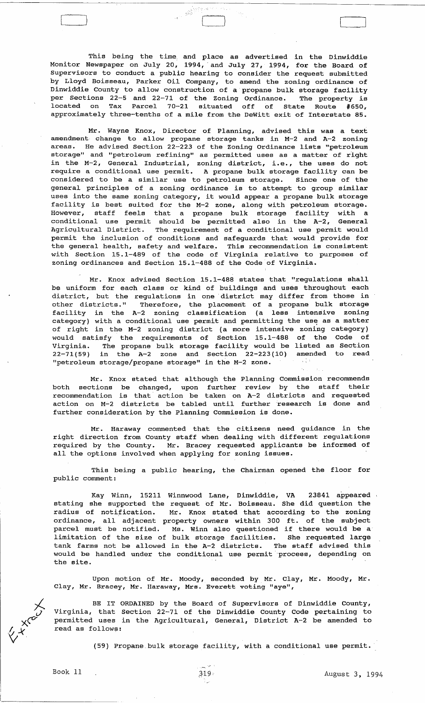This being the time, and place as advertised in the Dinwiddie Monitor Newspaper on July 20, 1994,' and July 27, 1994, for the Board of Supervisors to conduct a public hearing to consider the request submitted by Lloyd Boisseau, Parker oil Company, to amend the zoning ordinance of The construction of a propane bulk storage facility<br>Dinwiddie County to allow construction of a propane bulk storage facility<br>per Sections 22-5 and 22-71 of the Zoning Ordinance. The property is per Sections 22-5 and 22-71 of the Zoning Ordinance. located on Tax Parcel 70-21 situated off of State Route #650, approximately three-tenths of a mile from the Dewitt exit of Interstate 85.

 $\big\}$ 

Mr. Wayne Knox, Director of Planning, advised this was a text amendment change to allow propane storage tanks in M-2 and A-2 zoning areas. He advised Section 22-223 of the Zoning Ordinance lists "petroleum storage" and "petroleum refining" as permitted uses as a matter of right in the M-2, General Industrial, zoning district, i.e., the uses do not require a conditional use permit. A propane bulk storage facility can be considered to be a similar use to petroleum storage. Since one of the general principles of a zoning ordinance is to attempt to group similar uses into the same zoning category, it would appear a propane bulk storage facility is best suited for the M-2 zone, along with petroleum storage. However, staff feels that a propane bulk storage facility with a conditional use permit should be permitted also in the A-2, General Agricultural District. The requirement of a conditional use permit would permit the inclusion of conditions and safeguards that would provide for the general health, safety and welfare. This recommendation is consistent with Section 15.1-489 of the code of Virginia relative to purposes of zoning ordinances and section 15.1-488 of the Code of Virginia.

Mr. Knox advised Section 15.1-488 states that "regulations shall be uniform for each class or kind of buildings and uses throughout each district, but the regulations in one district may differ from those in other districts." Therefore, the placement of a propane bulk storage facility in the A-2 zoning classification (a less intensive zoning category) with a conditional use permit and permitting the use as a matter of right in the M-2 zoning district (a more intensive zoning category) would satisfy the requirements of Section 15.1-488 of the Code of Virginia. The propane bulk storage facility would be listed as section  $22-71(59)$  in the A-2 zone and Section  $22-223(10)$  amended to read<br>"petroleum storage/propane\_storage" in the M-2 zone. "petroleum storage/propane storage" in the M-2 zone.

Mr. Knox stated that although the Planning commission recommends both sections be changed, upon further review by the staff their recommendation is that' action be taken on A-2 districts and requested action on M-2 districts be tabled until further 'research is done and further consideration by the Planning commission is done.

Mr. Haraway commented that the citizens need guidance in the right direction from County staff when dealing with different regulations required by the County. Mr. Bracey requested applicants be informed of all the options involved when applying for zoning issues.

This being a public hearing, the Chairman opened the floor for public comment:

Kay Winn, 15211 Winnwood Lane, Dinwiddie, VA 23841 appeared stating she supported the request of Mr. Boisseau. She did question the radius of notification. Mr. Knox stated that according to the zoning ordinance, all adjacent property owners within 300 ft. of the subject parcel must be notified. Ms. Winn also questioned if there would be a limitation of the size of bulk storage facilities. She requested large tank farms not be allowed in the A-2 districts. The staff advised this would be handled under the conditional use permit 'process, depending on the site.

Upon motion of Mr. Moody, seconded by Mr. Clay, Mr. Moody, Mr. Clay, Mr. Bracey, Mr. Haraway, Mrs. Everett voting "aye",

BE IT ORDAINED by the Board of Supervisors of Dinwiddie County, Virginia, that section 22-71 of the Dinwiddie County Code pertaining to permitted uses in the Agricultural, General, District A-2 be amended to read as follows:

(59) Propane. bulk storage facility, with a conditional use permit.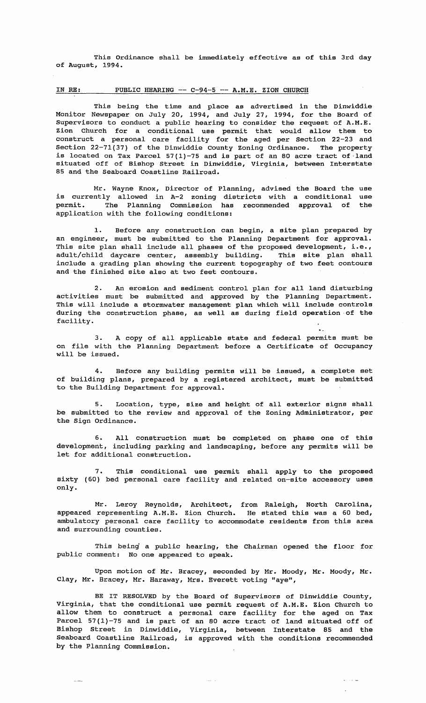This Ordinance shall be immediately effective as of this 3rd day of August, 1994.

# IN RE: PUBLIC HEARING -- C-94-5 -- A.M.E. ZION CHURCH

This being the time and place as advertised in the Dinwiddie Monitor Newspaper on July 20, 1994, and July 27, 1994, for the Board of Supervisors to conduct a public hearing to consider the request of A.M.E. Zion Church for a conditional use permit that would allow them to construct a personal care facility for the aged per section 22-23 and Section 22-71(37) of the Dinwiddie county Zoning Ordinance. The property is located on Tax Parcel 57(1)-75 and is part of an 80 acre tract of land situated off of Bishop Street in Dinwiddie, Virginia, between Interstate 85 and the Seaboard Coastline Railroad.

Mr. Wayne Knox, Director of Planning, advised the Board the use is currently allowed in A-2 zoning districts with a conditional use permit. The Planning Commission has recommended approval of the application with the following conditions:

1. Before any construction can begin, a site plan prepared by an engineer, must be submitted to the Planning Department for approval. This site plan shall include all phases of the proposed development, i.e., adult/child daycare center, assembly building. This site plan shall include a grading plan showing the current topography of two feet contours and the finished site also at two feet contours.

2. An erosion and sediment control plan for all land disturbing activities must be submitted and approved by the Planning Department. This will include a stormwater management plan which will include controls during the construction phase, as well as during field operation -of the facility.

3. A copy of all applicable state and federal permits must be on file with the Planning Department before a Certificate of Occupancy will be issued.

4. Before any building permits will be issued, a complete set of building plans, prepared by a registered architect, must be submitted to the Building Department for approval.

5. Location, type, size and height of all exterior signs shall be submitted to the review and approval of the Zoning Administrator, per the Sign Ordinance.

6. All construction must be completed on phase one of this development, including parking and landscaping, before any permits will be let for additional construction.

7. This conditional use permit shall apply to the proposed sixty (60) bed personal care facility and related on-site accessory uses only.

Mr. Leroy Reynolds, Architect, from Raleigh, North appeared representing A.M.E. Zion Church. He stated this was ambulatory personal care facility to accommodate residents from this area and surrounding counties. Carolina, a 60 bed,

This being a public hearing, the Chairman opened the floor for public comment: No one appeared to speak.

Upon motion of Mr. Bracey, seconded by Mr. Moody, Mr. Moody, Mr. Clay, Mr. Bracey, Mr. Haraway, Mrs. Everett voting "aye",

BE IT RESOLVED by the Board of Supervisors of Dinwiddie County, Virginia, that the conditional use permit request of A.M.E. Zion Church to allow them to construct a personal care facility for the aged on Tax Parcel 57(1)-75 and is part of an 80 acre tract of land situated off of Bishop Street in Dinwiddie, Virginia, between Interstate 85 and the Seaboard Coastline Railroad, is approved with the conditions recommended by the Planning Commission.

 $\omega_{\rm max} = \omega$ 

 $\omega$  , i.e.  $\omega$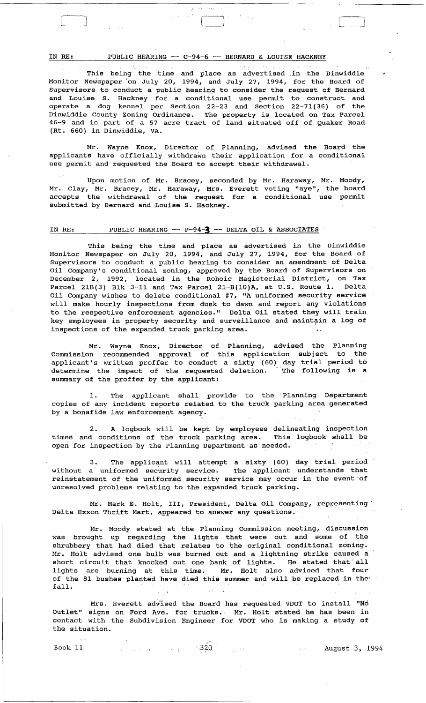IN RE: PUBLIC HEARING -- C-94-6 -- BERNARD & LOUISE HACKNEY

This being the time and place as advertised in the Dinwiddie Monitor Newspaper 'on July 20, 1994, and July 27, 1994, for the Board of Supervisors to conduct a public hearing to consider the request of Bernard and Louise S. Hackney for a conditional use permit to construct and operate a dog kennel per Section 22-23 and Section 22-71(36) of the D'inwiddie County Zoning Ordinance. The property is located on' Tax Parcel 46-9 and is part of a 57 acre tract of land situated off of Quaker Road (Rt. 660) in Dinwiddie, VA.

Mr. Wayne Knox, Director of Planning, advised the Board the applicants have officially withdrawn their application for a conditional use permit and requested the Board to accept their withdrawal.

Upon motion of Mr. Bracey, seconded by Mr. Haraway, Mr. Moody, Mr. Clay, Mr. Bracey, Mr. Haraway, Mrs. Everett voting "aye", the board accepts the withdrawal of the request for a conditional use permit submitted by Bernard and Louise S. Hackney.

# IN RE: PUBLIC HEARING -- P-94-3 -- DELTA OIL & ASSOCIATES

This being the time and place as advertised in the Dinwiddie Monitor Newspaper on July 20, 1994, and July 27, 1994, for the Board of Supervisors to conduct a public hearing to consider an amendment of Delta oil Company's conditional zoning, approved by the Board of Supervisors on December 2, 1992, located in the Rohoic Magisterial District, on Tax Parcel 21B(3) Blk 3-11 and Tax Parcel 21-B(10)A, at U.S. Route 1. Delta oil Company wishes to delete conditional #7, "A uniformed security service will make hourly inspections from dusk to dawn and report any violations to the respective enforcement agencies." Delta oil stated they will train key employees in property security and surveillance and maintain a log of inspections of the expanded truck parking area.

Mr. Wayne Knox, Director of Planning, advised the Planning Commission recommended approval of this application subject to the applicant's written proffer to conduct a sixty (60) day trial period to determine the impact of the requested deletion. The following is a determine the impact of the requested deletion.<br>summary of the proffer by the applicant:

1. The applicant shall provide to the :Planning Department copies of any incident reports related to the truck parking area generated by a bonafide law enforcement agency.

2. A logbook will be kept by employees delineating inspection times and conditions of the truck parking area. This logbook shall be open for inspection by the Planning Department as needed.

3. The applicant will attempt a sixty (60) day trial period without a uniformed security service. The applicant understands that reinstatement of the uniformed security service may occur in the event 'of unresolved problems relating to the expanded truck parking.

Mr. Mark E. Holt, III, President, Delta Oil Company, representing Delta Exxon Thrift Mart, appeared to answer any questions.

Mr. Moody stated at the Planning commission meeting, discussion was brought up regarding the lights that were out and some of the shrubbery that had died that relates to the original conditional zoning. Mr. Holt advised one bulb was burned out and a lightning strike caused a short circuit that knocked out one bank of lights. He stated that' all lights are burning at this time. Mr. Holt also advised that four' of the 81 bushes planted have died this summer and will be replaced in the' fall.

Mrs. Everett advised the Board has requested VDOT to install "No Outlet" signs on Ford Ave. for trucks. Mr. Holt stated he has been in contact with the Subdivision Engineer for VDOT who is making a study of the situation.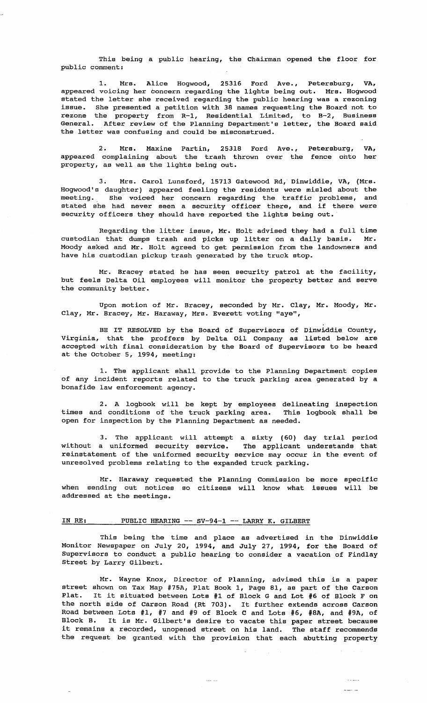This being a public hearing, the Chairman opened the floor for public comment:

1. Mrs. Alice Hogwood, 25316 Ford Ave., Petersburg, VA, appeared voicing her concern regarding the lights being out. Mrs. Hogwood stated the letter she received regarding the public hearing was a rezoning issue. She presented a petition with 38 names requesting the Board not to rezone the property from R-l, Residential Limited, to B-2, Business General. After review of the Planning Department's letter, the Board said the letter was confusing and could be misconstrued.

2. Mrs. Maxine Partin, 25318 Ford Ave., Petersburg, VA, appeared complaining about the trash thrown over the fence onto her property, as well as the lights being out.

3. Mrs. Carol Lunsford, 15713 Gatewood Rd,' Dinwiddie, VA, (Mrs. Hogwood's daughter) appeared feeling the residents were misled about the meeting. She voiced her concern regarding the traffic problems, and stated she had never seen a security officer there, and if there were security officers they should have reported the lights being out.

Regarding the litter issue, Mr. Holt advised they had a full time custodian that dumps trash and picks up litter on a daily basis. Mr. Moody asked and Mr. Holt agreed to get permission from the landowners and have his custodian pickup trash generated by the truck stop.

Mr. Bracey stated he has seen security patrol at the facility, but feels Delta Oil employees will monitor the property better and serve the community better.

Upon motion of Mr. Bracey, seconded by Mr. Clay, Mr. Moody, Mr. Clay, Mr. Bracey, Mr. Haraway, Mrs. Everett voting "aye",

BE IT RESOLVED by the Board of Supervisors of Dinwiddie County, Virginia, that the proffers by Delta oil Company as listed below are accepted with final consideration by the Board of Supervisors to be heard at the October 5, 1994, meeting:

1. The applicant shall provide to the Planning Department copies of any incident reports related to the truck parking area generated by a bonafide law enforcement agency.

2. A logbook will be kept by employees delineating inspection times and conditions of the truck parking area. This logbook shall be open for inspection by the Planning Department as needed.

3. The applicant will attempt a sixty (60) day trial period without a uniformed security service. The applicant understands that reinstatement of the uniformed security service may occur in the event of unresolved problems relating to the expanded truck parking.

Mr. Haraway requested the Planning Commission be more specific when sending out notices so citizens will know what issues will be addressed at the meetings.

# IN RE: PUBLIC HEARING -- SV-94-1 -- LARRY K. GILBERT

This being the time and place as advertised in the Dinwiddie Monitor Newspaper on July 20, 1994, and July 27, 1994, for the Board of Supervisors to conduct a public hearing to consider a vacation of Findlay Street by Larry Gilbert.

Mr. Wayne Knox, Director of Planning, advised this is a paper street shown on Tax Map #75A, Plat Book 1, Page 81, as part of the Carson Plat. It it situated between Lots #1 of Block G and Lot #6 of Block F on the north side of Carson Road (Rt 703). It further extends across Carson Road between Lots #1, #7 and #9 of Block C and Lots #6, #8A, and #9A, of Block B. It is Mr. Gilbert's desire to vacate this paper street because it remains a recorded, unopened street on his land. The staff recommends the request be granted with the provision that each abutting property

 $\frac{1}{2} \frac{1}{2} \frac{1}{2} \frac{1}{2} \frac{1}{2} \frac{1}{2} \frac{1}{2} \frac{1}{2} \frac{1}{2} \frac{1}{2} \frac{1}{2} \frac{1}{2} \frac{1}{2} \frac{1}{2} \frac{1}{2} \frac{1}{2} \frac{1}{2} \frac{1}{2} \frac{1}{2} \frac{1}{2} \frac{1}{2} \frac{1}{2} \frac{1}{2} \frac{1}{2} \frac{1}{2} \frac{1}{2} \frac{1}{2} \frac{1}{2} \frac{1}{2} \frac{1}{2} \frac{1}{2} \frac{$ 

 $\bar{1},\bar{2},\bar{3},\bar{4}$  $\frac{1}{2}$  and  $\frac{1}{2}$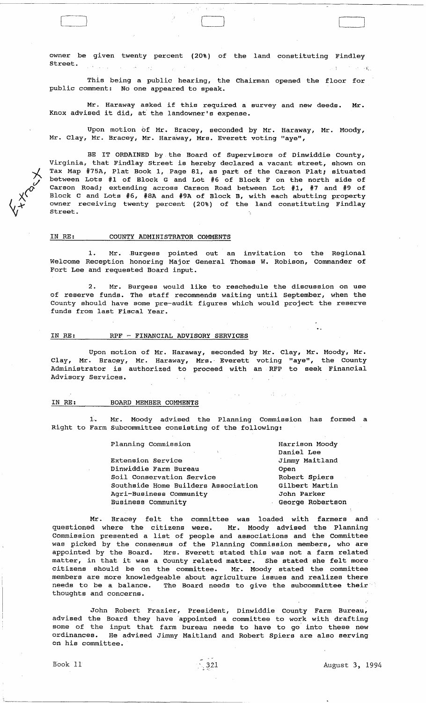owner be given twenty percent (20%) of the land constituting Findley street.  $\mathcal{L}^{(1)}\left(\mathcal{L}^{(1)}\right)=\mathcal{L}^{(1)}_{\mathbf{z},\mathbf{z}}\left(\mathcal{L}^{(1)}_{\mathbf{z},\mathbf{z}}\right)$  $1 - 3 -$ 

 $\Box$ 

This being a public hearing, the Chairman opened the floor for public comment: No one appeared to speak.

Mr. Haraway asked if this required a survey and new deeds. Mr. Knox advised it did, at' the landowner's expense.

Upon motion of Mr. Bracey, seconded by Mr. Haraway, Mr. Moody, Mr. Clay, Mr. Bracey, Mr. Haraway, Mrs. Everett voting "aye",

BE IT ORDAINED by the Board of Supervisors of Dinwiddie county, Virginia, that Findlay street is hereby declared a vacant street, shown on Tax Map #75A, Plat Book 1, Page 81, as part of the Carson Plat; situated between Lots #1 of Block G and Lot #6 of Block F on the north side of Carson Road; extending across Carson Road between Lot #1, #7 and #9 of Block C and Lots #6, #8A and #9A of Block B, with each abutting property owner receiving twenty percent (20%) of the land constituting Findlay street.

#### IN RE: COUNTY ADMINISTRATOR COMMENTS

1. Mr. Burgess pointed out an invitation to the Regional Welcome Reception honoring Major General Thomas W. Robison, Commander of Fort Lee and requested Board input.

2. Mr. Burgess would like to reschedule the discussion on use of reserve funds. The staff recommends waiting until September, when the County should have some pre-audit figures which would project the reserve funds from last Fiscal Year.

#### IN RE: RPF ~ FINANCIAL ADVISORY SERVICES

Upon motion of Mr. Haraway, seconded by Mr. Clay, Mr. Moody, Mr. Clay, Mr. Bracey, Mr. Haraway, Mrs. Everett voting "aye", the County Administrator is authorized to proceed with an RFP to seek Financial Advisory Services.

## IN RE: BOARD MEMBER COMMENTS

Mr. Moody advised the Planning Commission has formed a Right to Farm Subcommittee consisting of the following:

| Planning Commission                 | Harrison Moody   |  |  |
|-------------------------------------|------------------|--|--|
|                                     | Daniel Lee       |  |  |
| Extension Service                   | Jimmy Maitland   |  |  |
| Dinwiddie Farm Bureau               | Open             |  |  |
| Soil Conservation Service           | Robert Spiers    |  |  |
| Southside Home Builders Association | Gilbert Martin   |  |  |
| Agri-Business Community             | John Parker      |  |  |
| <b>Business Community</b>           | George Robertson |  |  |

 $\sim 10$ 

 $\mathcal{A}=\{x\}$ 

Mr. Bracey felt the committee was loaded with farmers and questioned where the citizens were. Mr. Moody advised the Planning Commission presented a list of people and associations and the Committee was picked by the consensus of the Planning commission members, who are appointed by the Board. Mrs. Everett stated this was not a farm related appointed by the board. This. Everett stated this was not a farm ferated<br>matter, in that it was a County related matter. She stated she felt more citizens should be on the committee. Mr. Moody stated the committee members are more knowledgeable about agriculture issues and realizes there needs to be a balance. The Board needs to give the subcommittee their thoughts and concerns.

John Robert Frazier, President, Dinwiddie County Farm Bureau, advised the Board they have appointed a committee to work with drafting some of the input that farm bureau needs to have to go into these new ordinances. He advised Jimmy Maitland and Robert Spiers are also serving on his committee.